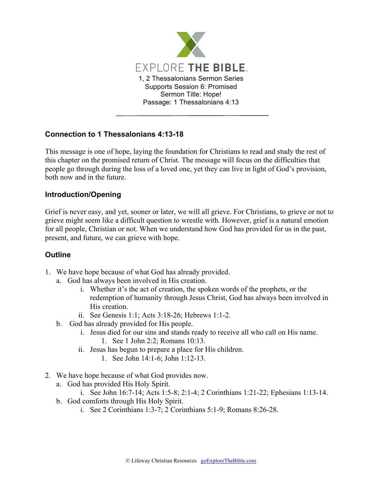

## **Connection to 1 Thessalonians 4:13-18**

This message is one of hope, laying the foundation for Christians to read and study the rest of this chapter on the promised return of Christ. The message will focus on the difficulties that people go through during the loss of a loved one, yet they can live in light of God's provision, both now and in the future.

## **Introduction/Opening**

Grief is never easy, and yet, sooner or later, we will all grieve. For Christians, to grieve or not to grieve might seem like a difficult question to wrestle with. However, grief is a natural emotion for all people, Christian or not. When we understand how God has provided for us in the past, present, and future, we can grieve with hope.

## **Outline**

- 1. We have hope because of what God has already provided.
	- a. God has always been involved in His creation.
		- i. Whether it's the act of creation, the spoken words of the prophets, or the redemption of humanity through Jesus Christ, God has always been involved in His creation.
		- ii. See Genesis 1:1; Acts 3:18-26; Hebrews 1:1-2.
	- b. God has already provided for His people.
		- i. Jesus died for our sins and stands ready to receive all who call on His name. 1. See 1 John 2:2; Romans 10:13.
		- ii. Jesus has begun to prepare a place for His children.
			- 1. See John 14:1-6; John 1:12-13.
- 2. We have hope because of what God provides now.
	- a. God has provided His Holy Spirit.
		- i. See John 16:7-14; Acts 1:5-8; 2:1-4; 2 Corinthians 1:21-22; Ephesians 1:13-14.
	- b. God comforts through His Holy Spirit.
		- i. See 2 Corinthians 1:3-7; 2 Corinthians 5:1-9; Romans 8:26-28.